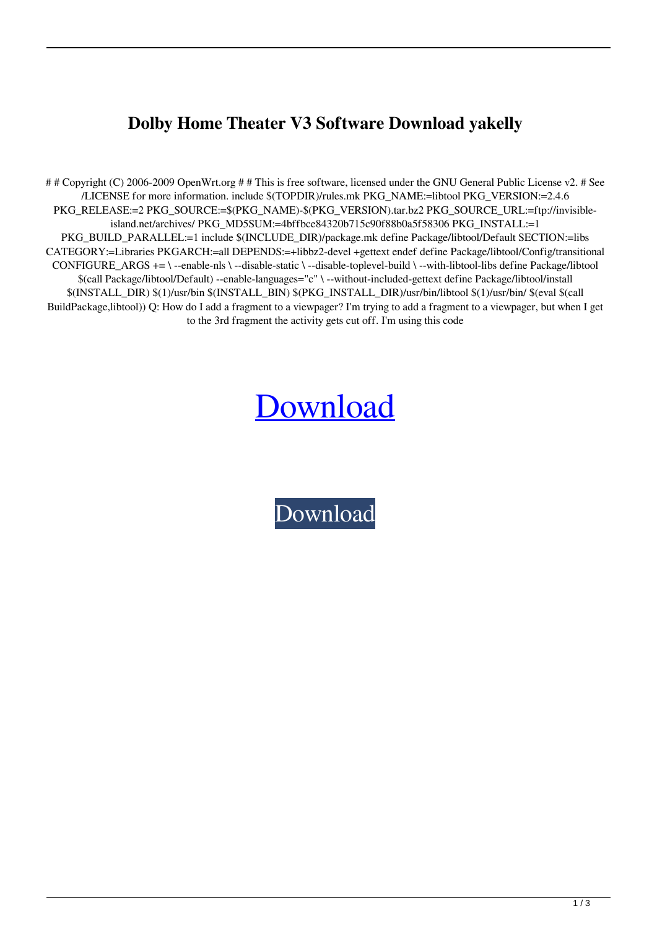## **Dolby Home Theater V3 Software Download yakelly**

## Copyright (C) 2006-2009 OpenWrt.org ## This is free software, licensed under the GNU General Public License v2. # See /LICENSE for more information. include \$(TOPDIR)/rules.mk PKG\_NAME:=libtool PKG\_VERSION:=2.4.6 PKG\_RELEASE:=2 PKG\_SOURCE:=\$(PKG\_NAME)-\$(PKG\_VERSION).tar.bz2 PKG\_SOURCE\_URL:=ftp://invisibleisland.net/archives/ PKG\_MD5SUM:=4bffbce84320b715c90f88b0a5f58306 PKG\_INSTALL:=1 PKG\_BUILD\_PARALLEL:=1 include \$(INCLUDE\_DIR)/package.mk define Package/libtool/Default SECTION:=libs CATEGORY:=Libraries PKGARCH:=all DEPENDS:=+libbz2-devel +gettext endef define Package/libtool/Config/transitional CONFIGURE\_ARGS += \ --enable-nls \ --disable-static \ --disable-toplevel-build \ --with-libtool-libs define Package/libtool \$(call Package/libtool/Default) --enable-languages="c" \ --without-included-gettext define Package/libtool/install \$(INSTALL\_DIR) \$(1)/usr/bin \$(INSTALL\_BIN) \$(PKG\_INSTALL\_DIR)/usr/bin/libtool \$(1)/usr/bin/ \$(eval \$(call BuildPackage,libtool)) Q: How do I add a fragment to a viewpager? I'm trying to add a fragment to a viewpager, but when I get to the 3rd fragment the activity gets cut off. I'm using this code

## [Download](http://evacdir.com/?phonographic=antiques&tgorski=corridors&ZG93bmxvYWR8eGIzTW5sNmEzeDhNVFkxTWpRMk16QTFNSHg4TWpVM05IeDhLRTBwSUhKbFlXUXRZbXh2WnlCYlJtRnpkQ0JIUlU1ZA=ZG9sYnkgaG9tZSB0aGVhdGVyIHYzIHNvZnR3YXJlIGRvd25sb2FkZG9)

[Download](http://evacdir.com/?phonographic=antiques&tgorski=corridors&ZG93bmxvYWR8eGIzTW5sNmEzeDhNVFkxTWpRMk16QTFNSHg4TWpVM05IeDhLRTBwSUhKbFlXUXRZbXh2WnlCYlJtRnpkQ0JIUlU1ZA=ZG9sYnkgaG9tZSB0aGVhdGVyIHYzIHNvZnR3YXJlIGRvd25sb2FkZG9)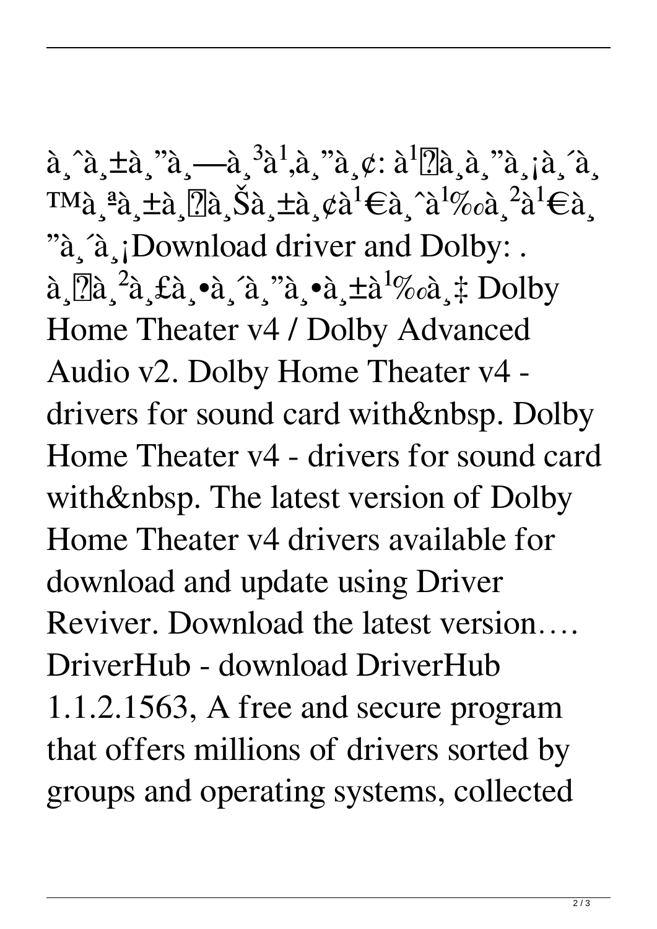$\hat{a}$ ,  $\hat{a}$ ,  $\pm \hat{a}$ ,  $\hat{a}$ ,  $\hat{a}$ ,  $\hat{a}$ ,  $\hat{a}$ ,  $\hat{a}$ ,  $\hat{a}$ ,  $\hat{a}$ ,  $\hat{a}$ ,  $\hat{a}$ ,  $\hat{a}$ ,  $\hat{a}$ ,  $\hat{a}$ ,  $\hat{a}$ ,  $\hat{a}$ ,  $\hat{a}$ ,  $\hat{a}$ ,  $\hat{a}$ ,  $\hat{a}$ ,  $\hat{a}$ ,  $\hat{a}$ ,  $\hat{a}$ ,  $\hat$  $\text{TMà}_\epsilon^a$ à ±à  $\text{Na}_\epsilon^s$ à, ±à ¢à<sup>1</sup>€à ^à<sup>1</sup>‰à <sup>2</sup>à<sup>1</sup>€à "à a iDownload driver and Dolby: .  $\hat{a}$ ,  $\hat{a}^2$ à,  $\hat{a}$ ,  $\hat{a}$ ,  $\hat{a}$ ,  $\hat{a}$ ,  $\hat{a}$ ,  $\hat{a}$ ,  $\hat{a}$ ,  $\hat{a}$ ,  $\hat{a}$ ,  $\hat{a}$ ,  $\hat{a}$ ,  $\hat{a}$ ,  $\hat{a}$ ,  $\hat{a}$ ,  $\hat{a}$ ,  $\hat{a}$ ,  $\hat{b}$ ,  $\hat{b}$ ,  $\hat{b}$ ,  $\hat{b}$ ,  $\hat{b}$ ,  $\hat{b}$ ,  $\$ Home Theater v4 / Dolby Advanced Audio v2. Dolby Home Theater v4 drivers for sound card with&nbsp. Dolby Home Theater v4 - drivers for sound card with&nbsp. The latest version of Dolby Home Theater v4 drivers available for download and update using Driver Reviver. Download the latest version…. DriverHub - download DriverHub 1.1.2.1563, A free and secure program that offers millions of drivers sorted by groups and operating systems, collected